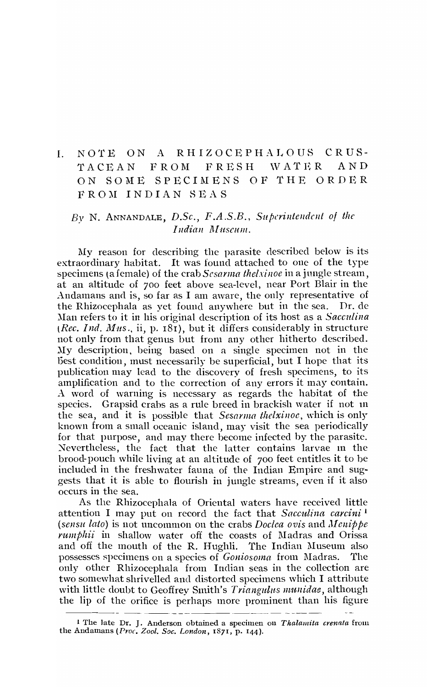# I. NOTE ON A RHIZOCEPHALOUS CRUS-TACEAN FROM FRESH WATER AND ON SOME SPECIMENS OF THE ORDER FROM INDIAN SEAS

### *By* N. ANNANDALE, *D.Sc., F.A.S.B., Superintendent of the Indian Museum.*

My reason for describing the parasite described below is its extraordinary habitat. It was found attached to one of the type specimens (a female) of the crab *Sesarma thelxinoe* in a jungle stream, at an altitude of 700 feet above sea-level, near Port Blair in the Andamans and is, so far as I am aware, the only representative of the Rhizocephala as yet found anywhere but in the sea. Dr. de Man refers to it in his original description of its host as a *Sacculina* (*Rec. Ind. Mus.*, ii, p. 181), but it differs considerably in structure not only from that genus but from any other hitherto described. Ity description, being based on a single specimen not in the best condition, must necessarily be superficial, but I hope that its publication may lead to the discovery of fresh specimens, to its amplification and to the correction of any errors it may contain. A word of warning is necessary as regards the habitat of the species. Grapsid crabs as a rule breed in brackish water if not 111 the sea, and it is possible that *Sesarma thelxinoc*, which is only known from a small oceanic island, may visit the sea periodically for that purpose, and may there become infected by the parasite. Nevertheless, the fact that the latter contains larvae in the brood-pouch while living at an altitude of 700 feet entitles it to be included in the freshwater fauna of the Indian Empire and suggests that it is able to flourish in jungle streams, even if it also occurs in the sea.

As the Rhizocephala of Oriental waters have received little attention I may put on record the fact that *Sacculina carcini*<sup>1</sup> *(sensu lato)* is not uncommon on the crabs *Doclca ovis* and *Jlcnippe rumphii* in shallow water off the coasts of Madras and Orissa and off the mouth of the R. Hughli. The Indian Museum also possesses specimens on a species of *Goniosoma* from l\Iadras. The only other Rhizocephala from Indian seas in the collection are two somewhat shrivelled and distorted specimens which I attribute with little doubt to Geoffrey Smith's *Triangulus munidae*, although the lip of the orifice is perhaps more prominent than his figure

<sup>&</sup>lt;sup>1</sup> The late Dr. J. Anderson obtained a specimen on *Thalamita crenata* from the Andamans *(Proc. Zool. Soc. London*, 1871, p. 144).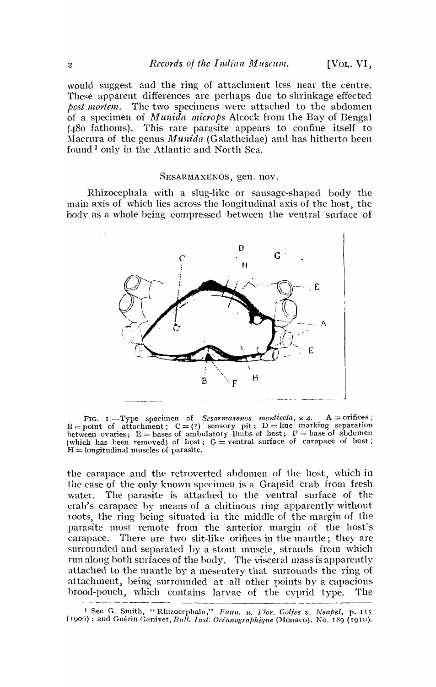would suggest and the ring of attachment less near the centre. These apparent differences are perhaps due to shrinkage effected *post mortem.* The two specimens were attached to the abdomen of a specimen of *lJlunida microps* Alcock from the Bay of Bengal  $(480$  fathoms). This rare parasite appears to confine itself to :\Iacrura of the genus *Al'ltnida* (Galatheidae) and has hitherto been found<sup>1</sup> only in the Atlantic and North Sea.

#### SESARMAXENOS, gen. nov.

Rhizocephala with a slug-like or sausage-shaped body the main axis of which lies across the longitudinal axis of the host, the body as a whole being compressed between the ventral surface of



FIG. I.—Type specimen of *Scsarmaxenos monticola*, x 4. A = orifices;<br>B = point of attachment;  $C = (i)$  sensory pit; D = line marking separation<br>between ovaries; E = bases of ambulatory limbs of host; F = base of abdomen (which has been removed) of host;  $G =$  ventral surface of carapace of host;  $H =$ longitudinal muscles of parasite.

the carapace and the retroverted ahdomen of the host, which in the case of the only known specimen is a Grapsid crab from fresh water. The parasite is attached to the ventral surface of the crab's carapace by means of a chitinous ring apparently without toots, the ring being situated in the middle of the margin of the parasite most remote from the anterior margin of the host's carapace. There are two slit-like orifices in the mantle; they are surrounded and separated by a stout muscle, strands from which run along both surfaces of the body. The visceral mass is apparently attached to the mantle by a mesentery that surrounds the ring of attachment, being surrounded at all other points by a capacious brood-pouch, which contains larvae of the cyprid type. The

<sup>1</sup> See G. Smith, "Rhizocephala," *Faun. u. Flor. Golfes v. Neapel*, p. 115 *(1906)* ; and Cinerin-Ganivet, *Bull. Ins!. Oceanographique* (Monaco), No. 189 (1910).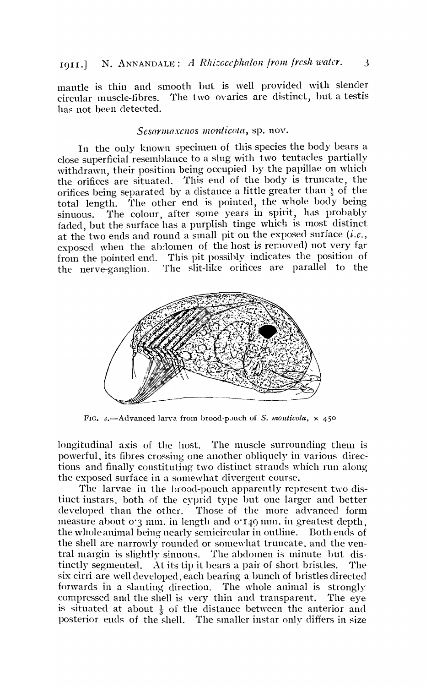## 1911.] N. ANNANDALE: *A Rhizocephalon from fresh water*. 3

mantle is thin and smooth but is well provided with slender circular muscle-fibres. The two ovaries are distinct, hut a testis has not been detected.

#### Sesarmaxenos monticota, sp. nov.

In the only known specimen of this species the body bears a close superficial resemblance to a slug with two tentacles partially withdrawn, their position being occupied by the papillae on which the orifices are situated. This end of the body is truncate, the orifices being separated by a distance a little greater than  $\frac{1}{5}$  of the total length. The other end is pointed, the whole body being The other end is pointed, the whole body being sinuous. The colour, after some years in spirit, has probably faded, but the surface has a purplish tinge which is most distinct at the two ends and round a small pit on the exposed surface  $(i.e.,$ exposed when the abdomen of the host is removed) not very far from the pointed end. This pit possibly indicates the position of the nerve-ganglion. The slit-like orifices are parallel to the



FIG. 2.-Advanced larva from brood-p,uch of *S. monticola*,  $\times$  450

longitudinal axis of the host. The muscle surrounding them is powerful, its fibres crossing one another obliquely in various directions and finally constituting two distinct strands which run along. the exposed surface in a somewhat divergent course.

The larvae in the brood-pouch apparently represent two distinct instars. both of the cyprid type hut one larger and better developed than the other. Those of the more advanced form measure about  $o$ <sup>3</sup> mm. in length and  $o$ <sup>140</sup> mm. in greatest depth, the whole animal being nearly semicircular in outline. Both ends of the shell are narrowly rounded or somewhat truncate, and the ventral margin is slightly sinuous. The abdomen is minute but distinctly segmented. At its tip it bears a pair of short bristles. The six cirri are well developed, each bearing a bunch of bristles directed forwards in a slanting direction. The whole animal is strongly compressed and the shell is very thin and transparent. The eye is situated at about  $\frac{1}{3}$  of the distance between the anterior and posterior ends of the shell. The smaller instar only differs in size